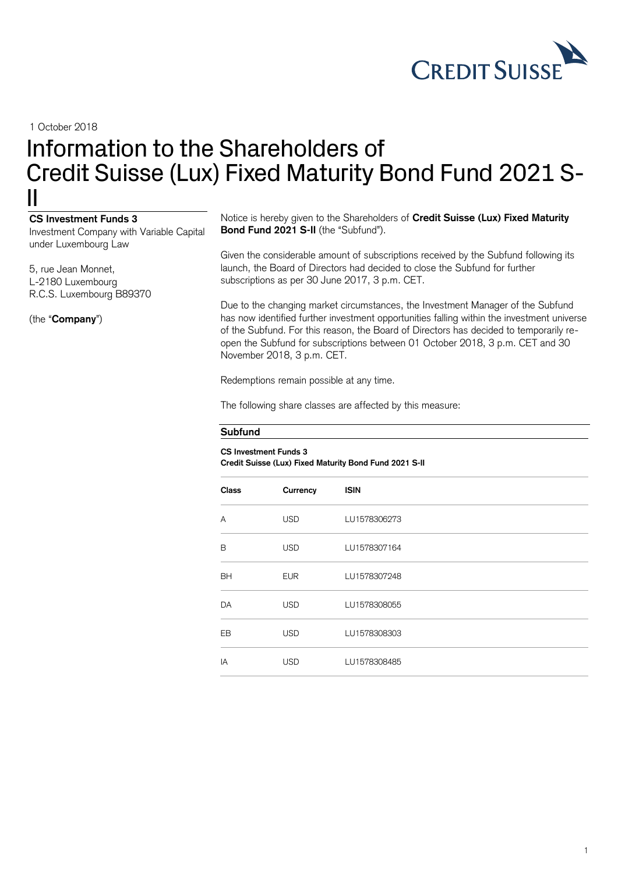

1 October 2018

## Information to the Shareholders of Credit Suisse (Lux) Fixed Maturity Bond Fund 2021 S-II

## **CS Investment Funds 3**

Investment Company with Variable Capital under Luxembourg Law

5, rue Jean Monnet, L-2180 Luxembourg R.C.S. Luxembourg B89370

(the "**Company**")

Notice is hereby given to the Shareholders of **Credit Suisse (Lux) Fixed Maturity**  Bond Fund 2021 S-II (the "Subfund").

Given the considerable amount of subscriptions received by the Subfund following its launch, the Board of Directors had decided to close the Subfund for further subscriptions as per 30 June 2017, 3 p.m. CET.

Due to the changing market circumstances, the Investment Manager of the Subfund has now identified further investment opportunities falling within the investment universe of the Subfund. For this reason, the Board of Directors has decided to temporarily reopen the Subfund for subscriptions between 01 October 2018, 3 p.m. CET and 30 November 2018, 3 p.m. CET.

Redemptions remain possible at any time.

The following share classes are affected by this measure:

## **Subfund**

## **CS Investment Funds 3 Credit Suisse (Lux) Fixed Maturity Bond Fund 2021 S-II**

| <b>Class</b> | Currency   | <b>ISIN</b>  |
|--------------|------------|--------------|
| A            | <b>USD</b> | LU1578306273 |
| B            | <b>USD</b> | LU1578307164 |
| <b>BH</b>    | <b>EUR</b> | LU1578307248 |
| <b>DA</b>    | <b>USD</b> | LU1578308055 |
| <b>EB</b>    | <b>USD</b> | LU1578308303 |
| IA           | <b>USD</b> | LU1578308485 |